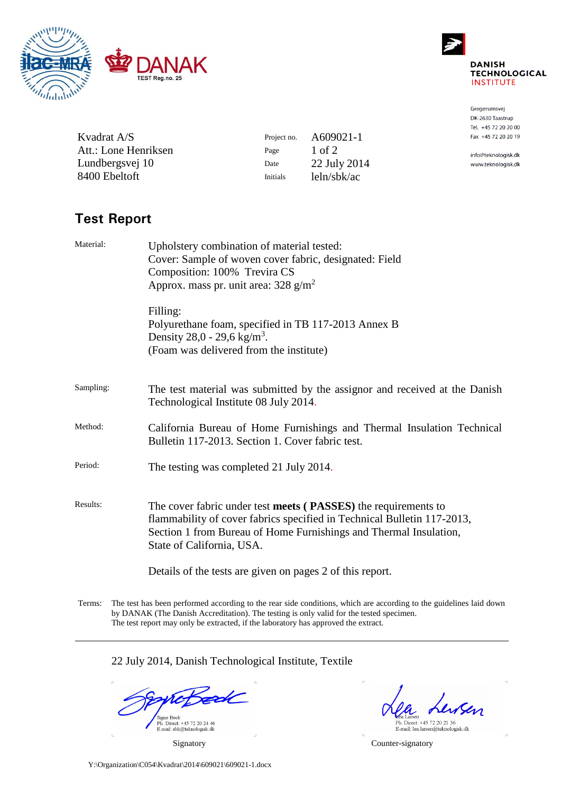

Kvadrat A/S

Att.: Lone Henriksen Lundbergsvej 10 8400 Ebeltoft



Gregersensvej DK-2630 Taastrup Tel. +45 72 20 20 00 Fax +45 72 20 20 19

info@teknologisk.dk www.teknologisk.dk

# **Test Report**

| Material: | Upholstery combination of material tested:<br>Cover: Sample of woven cover fabric, designated: Field<br>Composition: 100% Trevira CS<br>Approx. mass pr. unit area: $328$ g/m <sup>2</sup>                                                  |  |  |
|-----------|---------------------------------------------------------------------------------------------------------------------------------------------------------------------------------------------------------------------------------------------|--|--|
|           | Filling:<br>Polyurethane foam, specified in TB 117-2013 Annex B<br>Density 28,0 - 29,6 kg/m <sup>3</sup> .<br>(Foam was delivered from the institute)                                                                                       |  |  |
| Sampling: | The test material was submitted by the assignor and received at the Danish<br>Technological Institute 08 July 2014.                                                                                                                         |  |  |
| Method:   | California Bureau of Home Furnishings and Thermal Insulation Technical<br>Bulletin 117-2013. Section 1. Cover fabric test.                                                                                                                  |  |  |
| Period:   | The testing was completed 21 July 2014.                                                                                                                                                                                                     |  |  |
| Results:  | The cover fabric under test meets (PASSES) the requirements to<br>flammability of cover fabrics specified in Technical Bulletin 117-2013,<br>Section 1 from Bureau of Home Furnishings and Thermal Insulation,<br>State of California, USA. |  |  |
|           | Details of the tests are given on pages 2 of this report.                                                                                                                                                                                   |  |  |

Project no. A609021-1 Page  $1$  of  $2$ 

Date 22 July 2014 Initials leln/sbk/ac

Terms: The test has been performed according to the rear side conditions, which are according to the guidelines laid down by DANAK (The Danish Accreditation). The testing is only valid for the tested specimen. The test report may only be extracted, if the laboratory has approved the extract.

22 July 2014, Danish Technological Institute, Textile

Signe Beck<br>Ph. Direct: +45 72 20 24 46<br>E.mail: sbk@teknologisk.dk

Insen

Eea Laisen<br>Ph. Direct: +45 72 20 21 36<br>E-mail: lea.larsen@teknologisk.dk

Signatory Counter-signatory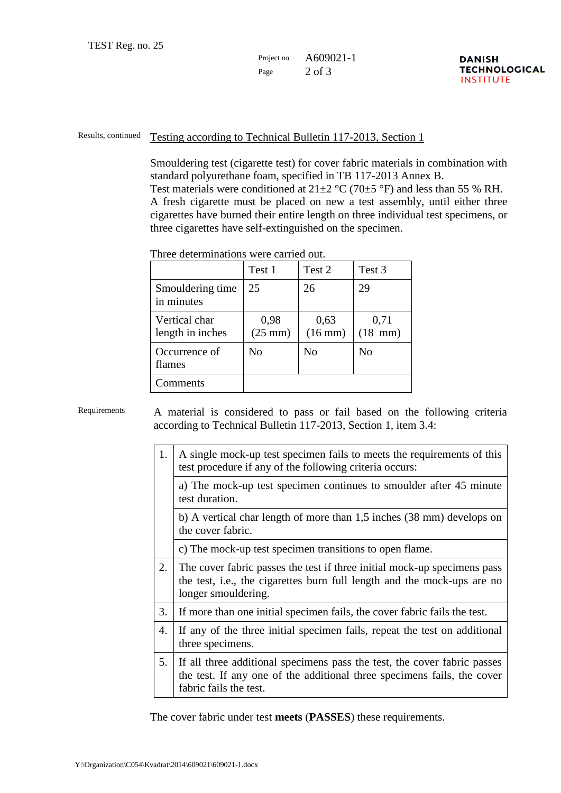## Project no. A609021-1 Page  $2$  of 3

### Results, continued Testing according to Technical Bulletin 117-2013, Section 1

Smouldering test (cigarette test) for cover fabric materials in combination with standard polyurethane foam, specified in TB 117-2013 Annex B. Test materials were conditioned at  $21\pm2$  °C (70 $\pm$ 5 °F) and less than 55 % RH. A fresh cigarette must be placed on new a test assembly, until either three cigarettes have burned their entire length on three individual test specimens, or three cigarettes have self-extinguished on the specimen.

| тигсе ассепшилопо мете саптеа бас. |                           |                      |                           |
|------------------------------------|---------------------------|----------------------|---------------------------|
|                                    | Test 1                    | Test 2               | Test 3                    |
| Smouldering time<br>in minutes     | 25                        | 26                   | 29                        |
| Vertical char<br>length in inches  | 0,98<br>$(25 \text{ mm})$ | 0,63<br>$(16$ mm $)$ | 0,71<br>$(18 \text{ mm})$ |
| Occurrence of<br>flames            | No                        | N <sub>0</sub>       | No                        |
| Comments                           |                           |                      |                           |

Three determinations were carried out.

Requirements A material is considered to pass or fail based on the following criteria according to Technical Bulletin 117-2013, Section 1, item 3.4:

| 1.             | A single mock-up test specimen fails to meets the requirements of this<br>test procedure if any of the following criteria occurs:                                             |
|----------------|-------------------------------------------------------------------------------------------------------------------------------------------------------------------------------|
|                | a) The mock-up test specimen continues to smoulder after 45 minute<br>test duration.                                                                                          |
|                | b) A vertical char length of more than 1,5 inches (38 mm) develops on<br>the cover fabric.                                                                                    |
|                | c) The mock-up test specimen transitions to open flame.                                                                                                                       |
| 2.             | The cover fabric passes the test if three initial mock-up specimens pass<br>the test, i.e., the cigarettes burn full length and the mock-ups are no<br>longer smouldering.    |
| 3.             | If more than one initial specimen fails, the cover fabric fails the test.                                                                                                     |
| 4.             | If any of the three initial specimen fails, repeat the test on additional<br>three specimens.                                                                                 |
| 5 <sub>1</sub> | If all three additional specimens pass the test, the cover fabric passes<br>the test. If any one of the additional three specimens fails, the cover<br>fabric fails the test. |

The cover fabric under test **meets** (**PASSES**) these requirements.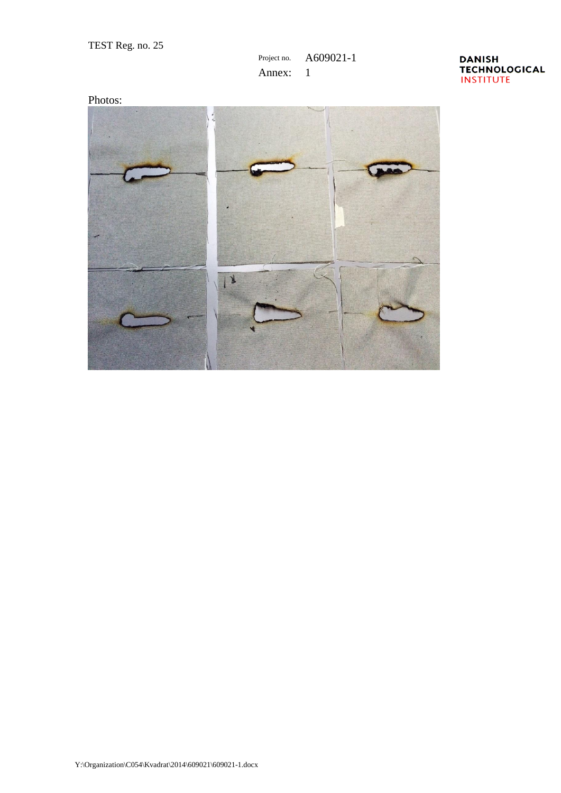## Project no. A609021-1 Annex: 1

### **DANISH TECHNOLOGICAL INSTITUTE**